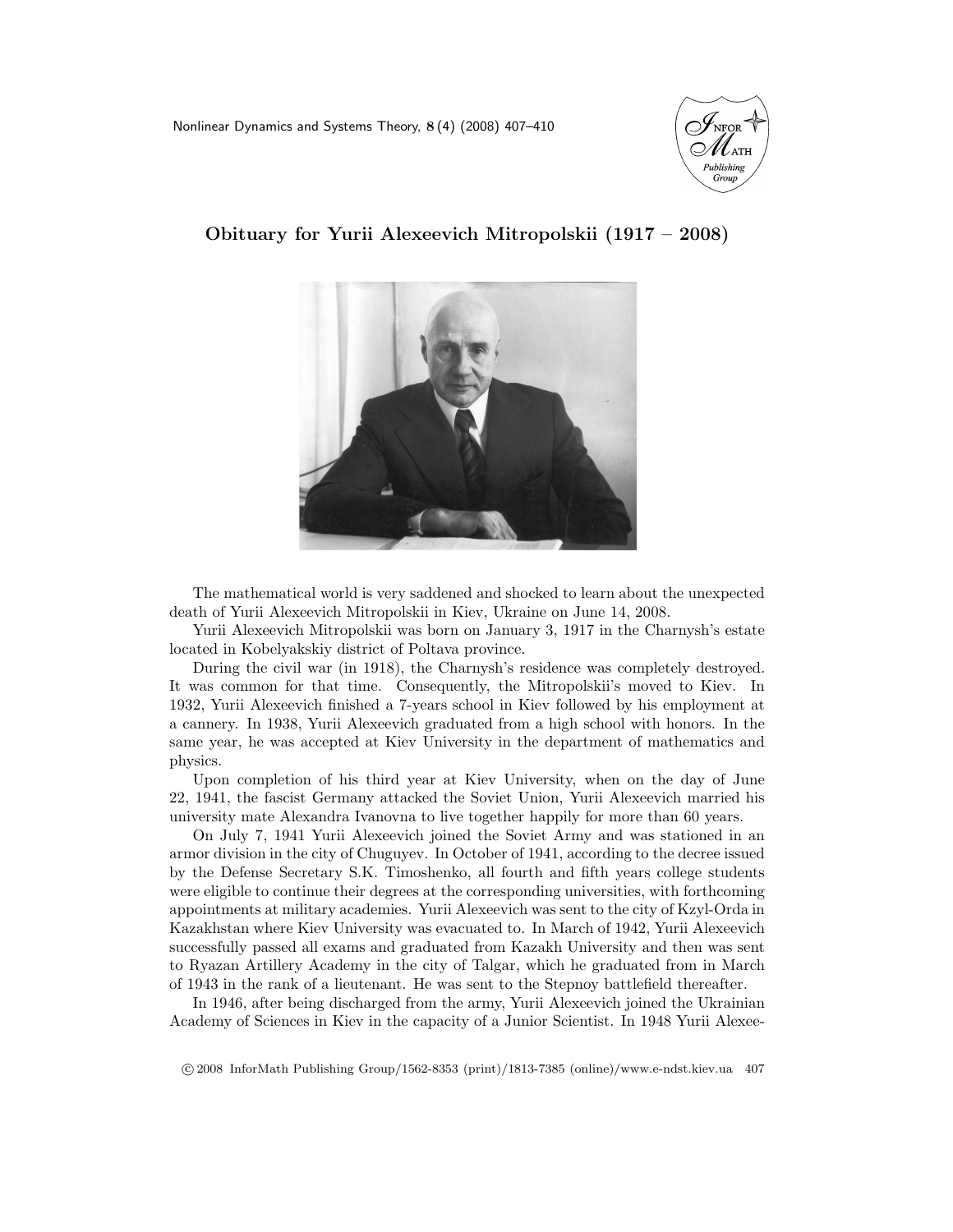Nonlinear Dynamics and Systems Theory, 8 (4) (2008) 407–410





## Obituary for Yurii Alexeevich Mitropolskii (1917 – 2008)

The mathematical world is very saddened and shocked to learn about the unexpected death of Yurii Alexeevich Mitropolskii in Kiev, Ukraine on June 14, 2008.

Yurii Alexeevich Mitropolskii was born on January 3, 1917 in the Charnysh's estate located in Kobelyakskiy district of Poltava province.

During the civil war (in 1918), the Charnysh's residence was completely destroyed. It was common for that time. Consequently, the Mitropolskii's moved to Kiev. In 1932, Yurii Alexeevich finished a 7-years school in Kiev followed by his employment at a cannery. In 1938, Yurii Alexeevich graduated from a high school with honors. In the same year, he was accepted at Kiev University in the department of mathematics and physics.

Upon completion of his third year at Kiev University, when on the day of June 22, 1941, the fascist Germany attacked the Soviet Union, Yurii Alexeevich married his university mate Alexandra Ivanovna to live together happily for more than 60 years.

On July 7, 1941 Yurii Alexeevich joined the Soviet Army and was stationed in an armor division in the city of Chuguyev. In October of 1941, according to the decree issued by the Defense Secretary S.K. Timoshenko, all fourth and fifth years college students were eligible to continue their degrees at the corresponding universities, with forthcoming appointments at military academies. Yurii Alexeevich was sent to the city of Kzyl-Orda in Kazakhstan where Kiev University was evacuated to. In March of 1942, Yurii Alexeevich successfully passed all exams and graduated from Kazakh University and then was sent to Ryazan Artillery Academy in the city of Talgar, which he graduated from in March of 1943 in the rank of a lieutenant. He was sent to the Stepnoy battlefield thereafter.

In 1946, after being discharged from the army, Yurii Alexeevich joined the Ukrainian Academy of Sciences in Kiev in the capacity of a Junior Scientist. In 1948 Yurii Alexee-

c 2008 InforMath Publishing Group/1562-8353 (print)/1813-7385 (online)/www.e-ndst.kiev.ua 407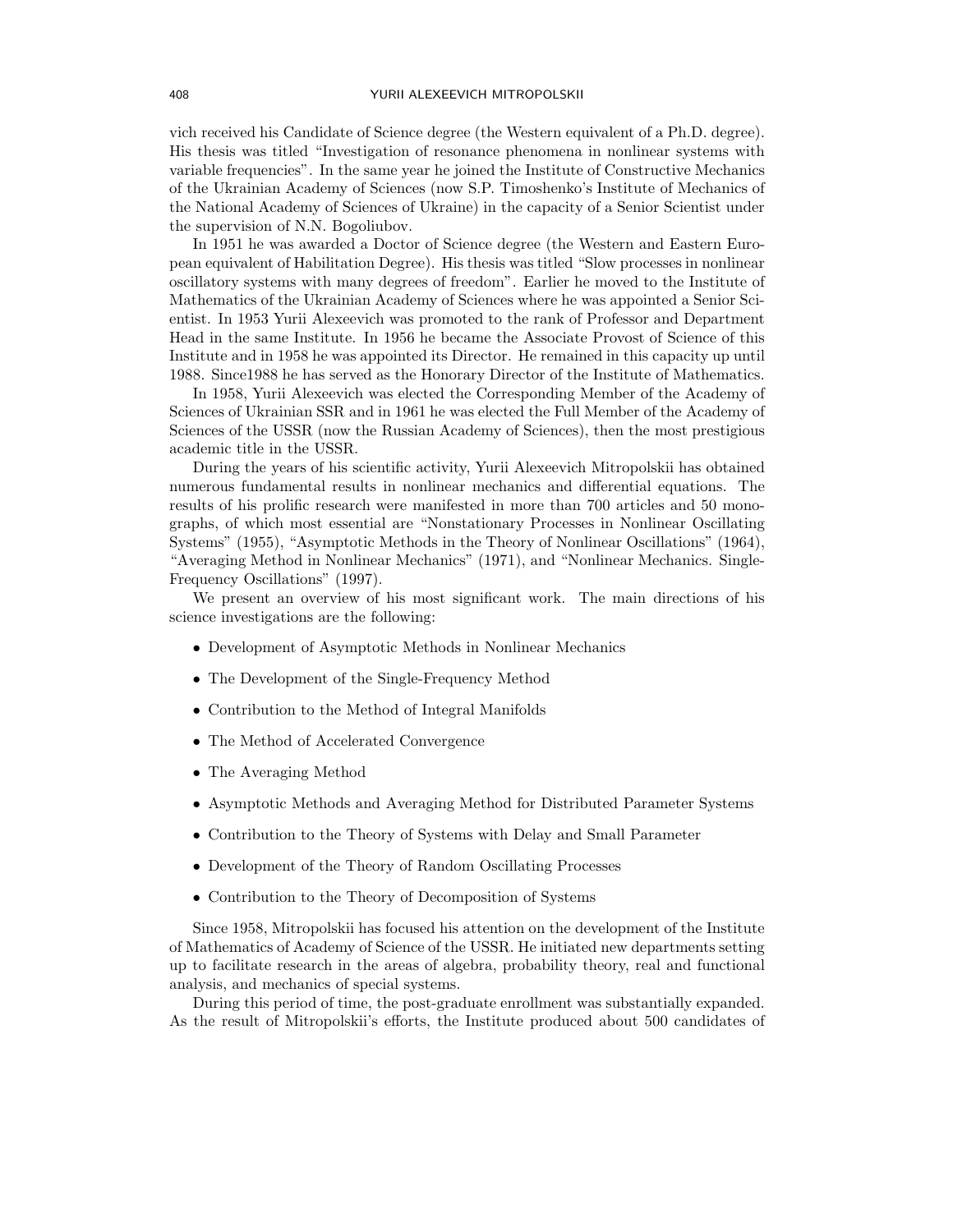vich received his Candidate of Science degree (the Western equivalent of a Ph.D. degree). His thesis was titled "Investigation of resonance phenomena in nonlinear systems with variable frequencies". In the same year he joined the Institute of Constructive Mechanics of the Ukrainian Academy of Sciences (now S.P. Timoshenko's Institute of Mechanics of the National Academy of Sciences of Ukraine) in the capacity of a Senior Scientist under the supervision of N.N. Bogoliubov.

In 1951 he was awarded a Doctor of Science degree (the Western and Eastern European equivalent of Habilitation Degree). His thesis was titled "Slow processes in nonlinear oscillatory systems with many degrees of freedom". Earlier he moved to the Institute of Mathematics of the Ukrainian Academy of Sciences where he was appointed a Senior Scientist. In 1953 Yurii Alexeevich was promoted to the rank of Professor and Department Head in the same Institute. In 1956 he became the Associate Provost of Science of this Institute and in 1958 he was appointed its Director. He remained in this capacity up until 1988. Since1988 he has served as the Honorary Director of the Institute of Mathematics.

In 1958, Yurii Alexeevich was elected the Corresponding Member of the Academy of Sciences of Ukrainian SSR and in 1961 he was elected the Full Member of the Academy of Sciences of the USSR (now the Russian Academy of Sciences), then the most prestigious academic title in the USSR.

During the years of his scientific activity, Yurii Alexeevich Mitropolskii has obtained numerous fundamental results in nonlinear mechanics and differential equations. The results of his prolific research were manifested in more than 700 articles and 50 monographs, of which most essential are "Nonstationary Processes in Nonlinear Oscillating Systems" (1955), "Asymptotic Methods in the Theory of Nonlinear Oscillations" (1964), "Averaging Method in Nonlinear Mechanics" (1971), and "Nonlinear Mechanics. Single-Frequency Oscillations" (1997).

We present an overview of his most significant work. The main directions of his science investigations are the following:

- Development of Asymptotic Methods in Nonlinear Mechanics
- The Development of the Single-Frequency Method
- Contribution to the Method of Integral Manifolds
- The Method of Accelerated Convergence
- The Averaging Method
- Asymptotic Methods and Averaging Method for Distributed Parameter Systems
- Contribution to the Theory of Systems with Delay and Small Parameter
- Development of the Theory of Random Oscillating Processes
- Contribution to the Theory of Decomposition of Systems

Since 1958, Mitropolskii has focused his attention on the development of the Institute of Mathematics of Academy of Science of the USSR. He initiated new departments setting up to facilitate research in the areas of algebra, probability theory, real and functional analysis, and mechanics of special systems.

During this period of time, the post-graduate enrollment was substantially expanded. As the result of Mitropolskii's efforts, the Institute produced about 500 candidates of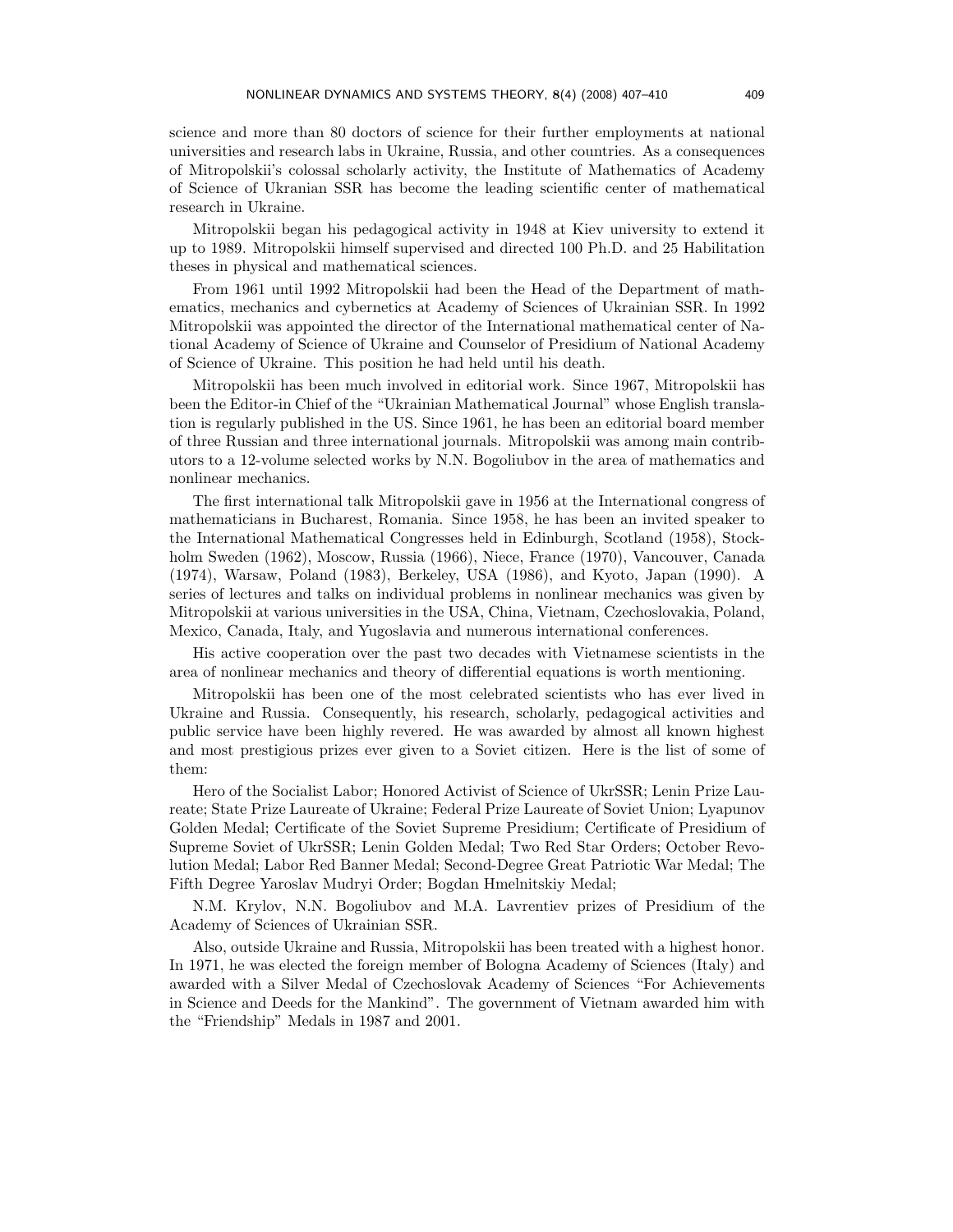science and more than 80 doctors of science for their further employments at national universities and research labs in Ukraine, Russia, and other countries. As a consequences of Mitropolskii's colossal scholarly activity, the Institute of Mathematics of Academy of Science of Ukranian SSR has become the leading scientific center of mathematical research in Ukraine.

Mitropolskii began his pedagogical activity in 1948 at Kiev university to extend it up to 1989. Mitropolskii himself supervised and directed 100 Ph.D. and 25 Habilitation theses in physical and mathematical sciences.

From 1961 until 1992 Mitropolskii had been the Head of the Department of mathematics, mechanics and cybernetics at Academy of Sciences of Ukrainian SSR. In 1992 Mitropolskii was appointed the director of the International mathematical center of National Academy of Science of Ukraine and Counselor of Presidium of National Academy of Science of Ukraine. This position he had held until his death.

Mitropolskii has been much involved in editorial work. Since 1967, Mitropolskii has been the Editor-in Chief of the "Ukrainian Mathematical Journal" whose English translation is regularly published in the US. Since 1961, he has been an editorial board member of three Russian and three international journals. Mitropolskii was among main contributors to a 12-volume selected works by N.N. Bogoliubov in the area of mathematics and nonlinear mechanics.

The first international talk Mitropolskii gave in 1956 at the International congress of mathematicians in Bucharest, Romania. Since 1958, he has been an invited speaker to the International Mathematical Congresses held in Edinburgh, Scotland (1958), Stockholm Sweden (1962), Moscow, Russia (1966), Niece, France (1970), Vancouver, Canada (1974), Warsaw, Poland (1983), Berkeley, USA (1986), and Kyoto, Japan (1990). A series of lectures and talks on individual problems in nonlinear mechanics was given by Mitropolskii at various universities in the USA, China, Vietnam, Czechoslovakia, Poland, Mexico, Canada, Italy, and Yugoslavia and numerous international conferences.

His active cooperation over the past two decades with Vietnamese scientists in the area of nonlinear mechanics and theory of differential equations is worth mentioning.

Mitropolskii has been one of the most celebrated scientists who has ever lived in Ukraine and Russia. Consequently, his research, scholarly, pedagogical activities and public service have been highly revered. He was awarded by almost all known highest and most prestigious prizes ever given to a Soviet citizen. Here is the list of some of them:

Hero of the Socialist Labor; Honored Activist of Science of UkrSSR; Lenin Prize Laureate; State Prize Laureate of Ukraine; Federal Prize Laureate of Soviet Union; Lyapunov Golden Medal; Certificate of the Soviet Supreme Presidium; Certificate of Presidium of Supreme Soviet of UkrSSR; Lenin Golden Medal; Two Red Star Orders; October Revolution Medal; Labor Red Banner Medal; Second-Degree Great Patriotic War Medal; The Fifth Degree Yaroslav Mudryi Order; Bogdan Hmelnitskiy Medal;

N.M. Krylov, N.N. Bogoliubov and M.A. Lavrentiev prizes of Presidium of the Academy of Sciences of Ukrainian SSR.

Also, outside Ukraine and Russia, Mitropolskii has been treated with a highest honor. In 1971, he was elected the foreign member of Bologna Academy of Sciences (Italy) and awarded with a Silver Medal of Czechoslovak Academy of Sciences "For Achievements in Science and Deeds for the Mankind". The government of Vietnam awarded him with the "Friendship" Medals in 1987 and 2001.